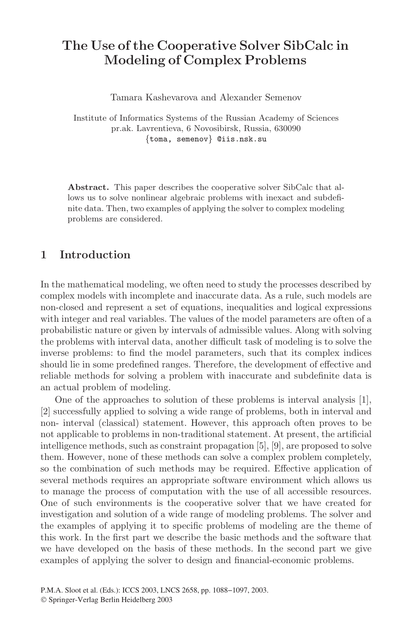# **The Use of the Cooperative Solver SibCalc in Modeling of Complex Problems**

Tamara Kashevarova and Alexander Semenov

Institute of Informatics Systems of the Russian Academy of Sciences pr.ak. Lavrentieva, 6 Novosibirsk, Russia, 630090 *{*toma, semenov*}* @iis.nsk.su

**Abstract.** This paper describes the cooperative solver SibCalc that allows us to solve nonlinear algebraic problems with inexact and subdefinite data. Then, two examples of applying the solver to complex modeling problems are considered.

## **1 Introduction**

In the mathematical modeling, we often need to study the processes described by complex models with incomplete and inaccurate data. As a rule, such models are non-closed and represent a set of equations, inequalities and logical expressions with integer and real variables. The values of the model parameters are often of a probabilistic nature or given by intervals of admissible values. Along with solving the problems with interval data, another difficult task of modeling is to solve the inverse problems: to find the model parameters, such that its complex indices should lie in some predefined ranges. Therefore, the development of effective and reliable methods for solving a problem with inaccurate and subdefinite data is an actual problem of modeling.

One of the approaches to solution of these problems is interval analysis [1], [2] successfully applied to solving a wide range of problems, both in interval and non- interval (classical) statement. However, this approach often proves to be not applicable to problems in non-traditional statement. At present, the artificial intelligence methods, such as constraint propagation [5], [9], are proposed to solve them. However, none of these methods can solve a complex problem completely, so the combination of such methods may be required. Effective application of several methods requires an appropriate software environment which allows us to manage the process of computation with the use of all accessible resources. One of such environments is the cooperative solver that we have created for investigation and solution of a wide range of modeling problems. The solver and the examples of applying it to specific problems of modeling are the theme of this work. In the first part we describe the basic methods and the software that we have developed on the basis of these methods. In the second part we give examples of applying the solver to design and financial-economic problems.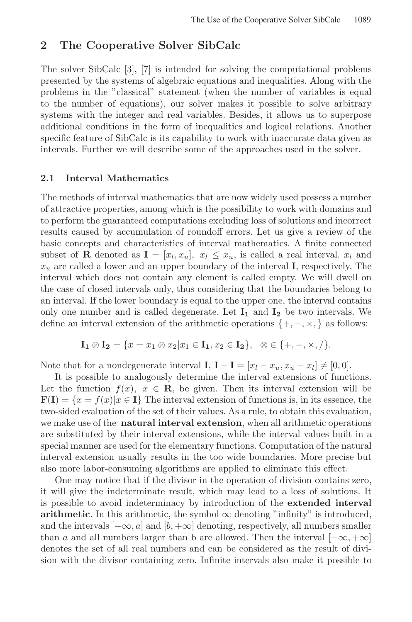### **2 The Cooperative Solver SibCalc**

The solver SibCalc [3], [7] is intended for solving the computational problems presented by the systems of algebraic equations and inequalities. Along with the problems in the "classical" statement (when the number of variables is equal to the number of equations), our solver makes it possible to solve arbitrary systems with the integer and real variables. Besides, it allows us to superpose additional conditions in the form of inequalities and logical relations. Another specific feature of SibCalc is its capability to work with inaccurate data given as intervals. Further we will describe some of the approaches used in the solver.

#### **2.1 Interval Mathematics**

The methods of interval mathematics that are now widely used possess a number of attractive properties, among which is the possibility to work with domains and to perform the guaranteed computations excluding loss of solutions and incorrect results caused by accumulation of roundoff errors. Let us give a review of the basic concepts and characteristics of interval mathematics. A finite connected subset of **R** denoted as  $I = [x_l, x_u]$ ,  $x_l \le x_u$ , is called a real interval.  $x_l$  and  $x<sub>u</sub>$  are called a lower and an upper boundary of the interval **I**, respectively. The interval which does not contain any element is called empty. We will dwell on the case of closed intervals only, thus considering that the boundaries belong to an interval. If the lower boundary is equal to the upper one, the interval contains only one number and is called degenerate. Let  $I_1$  and  $I_2$  be two intervals. We define an interval extension of the arithmetic operations *{*+*, −, ×, }* as follows:

$$
\mathbf{I}_1 \otimes \mathbf{I}_2 = \{ x = x_1 \otimes x_2 | x_1 \in \mathbf{I}_1, x_2 \in \mathbf{I}_2 \}, \ \ \otimes \in \{ +, -, \times, / \}.
$$

Note that for a nondegenerate interval **I**,  $\mathbf{I} - \mathbf{I} = [x_l - x_u, x_u - x_l] \neq [0, 0].$ 

It is possible to analogously determine the interval extensions of functions. Let the function  $f(x)$ ,  $x \in \mathbb{R}$ , be given. Then its interval extension will be  $\mathbf{F}(\mathbf{I}) = \{x = f(x)|x \in \mathbf{I}\}\$ The interval extension of functions is, in its essence, the two-sided evaluation of the set of their values. As a rule, to obtain this evaluation, we make use of the **natural interval extension**, when all arithmetic operations are substituted by their interval extensions, while the interval values built in a special manner are used for the elementary functions. Computation of the natural interval extension usually results in the too wide boundaries. More precise but also more labor-consuming algorithms are applied to eliminate this effect.

One may notice that if the divisor in the operation of division contains zero, it will give the indeterminate result, which may lead to a loss of solutions. It is possible to avoid indeterminacy by introduction of the **extended interval arithmetic**. In this arithmetic, the symbol  $\infty$  denoting "infinity" is introduced, and the intervals  $[-\infty, a]$  and  $[b, +\infty]$  denoting, respectively, all numbers smaller than *a* and all numbers larger than b are allowed. Then the interval  $[-\infty, +\infty]$ denotes the set of all real numbers and can be considered as the result of division with the divisor containing zero. Infinite intervals also make it possible to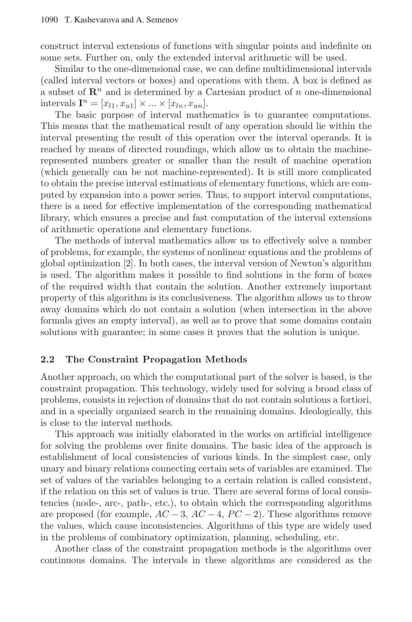construct interval extensions of functions with singular points and indefinite on some sets. Further on, only the extended interval arithmetic will be used.

Similar to the one-dimensional case, we can define multidimensional intervals (called interval vectors or boxes) and operations with them. A box is defined as a subset of  $\mathbb{R}^n$  and is determined by a Cartesian product of *n* one-dimensional intervals  $\mathbf{I}^n = [x_{l1}, x_{u1}] \times ... \times [x_{ln}, x_{un}].$ 

The basic purpose of interval mathematics is to guarantee computations. This means that the mathematical result of any operation should lie within the interval presenting the result of this operation over the interval operands. It is reached by means of directed roundings, which allow us to obtain the machinerepresented numbers greater or smaller than the result of machine operation (which generally can be not machine-represented). It is still more complicated to obtain the precise interval estimations of elementary functions, which are computed by expansion into a power series. Thus, to support interval computations, there is a need for effective implementation of the corresponding mathematical library, which ensures a precise and fast computation of the interval extensions of arithmetic operations and elementary functions.

The methods of interval mathematics allow us to effectively solve a number of problems, for example, the systems of nonlinear equations and the problems of global optimization [2]. In both cases, the interval version of Newton's algorithm is used. The algorithm makes it possible to find solutions in the form of boxes of the required width that contain the solution. Another extremely important property of this algorithm is its conclusiveness. The algorithm allows us to throw away domains which do not contain a solution (when intersection in the above formula gives an empty interval), as well as to prove that some domains contain solutions with guarantee; in some cases it proves that the solution is unique.

#### **2.2 The Constraint Propagation Methods**

Another approach, on which the computational part of the solver is based, is the constraint propagation. This technology, widely used for solving a broad class of problems, consists in rejection of domains that do not contain solutions a fortiori, and in a specially organized search in the remaining domains. Ideologically, this is close to the interval methods.

This approach was initially elaborated in the works on artificial intelligence for solving the problems over finite domains. The basic idea of the approach is establishment of local consistencies of various kinds. In the simplest case, only unary and binary relations connecting certain sets of variables are examined. The set of values of the variables belonging to a certain relation is called consistent, if the relation on this set of values is true. There are several forms of local consistencies (node-, arc-, path-, etc.), to obtain which the corresponding algorithms are proposed (for example,  $AC - 3$ ,  $AC - 4$ ,  $PC - 2$ ). These algorithms remove the values, which cause inconsistencies. Algorithms of this type are widely used in the problems of combinatory optimization, planning, scheduling, etc.

Another class of the constraint propagation methods is the algorithms over continuous domains. The intervals in these algorithms are considered as the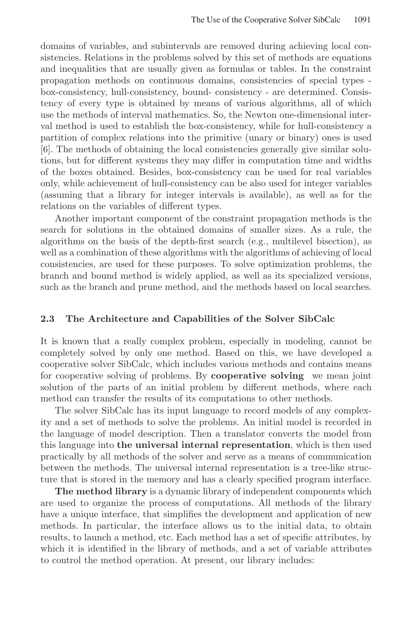domains of variables, and subintervals are removed during achieving local consistencies. Relations in the problems solved by this set of methods are equations and inequalities that are usually given as formulas or tables. In the constraint propagation methods on continuous domains, consistencies of special types box-consistency, hull-consistency, bound- consistency - are determined. Consistency of every type is obtained by means of various algorithms, all of which use the methods of interval mathematics. So, the Newton one-dimensional interval method is used to establish the box-consistency, while for hull-consistency a partition of complex relations into the primitive (unary or binary) ones is used [6]. The methods of obtaining the local consistencies generally give similar solutions, but for different systems they may differ in computation time and widths of the boxes obtained. Besides, box-consistency can be used for real variables only, while achievement of hull-consistency can be also used for integer variables (assuming that a library for integer intervals is available), as well as for the relations on the variables of different types.

Another important component of the constraint propagation methods is the search for solutions in the obtained domains of smaller sizes. As a rule, the algorithms on the basis of the depth-first search (e.g., multilevel bisection), as well as a combination of these algorithms with the algorithms of achieving of local consistencies, are used for these purposes. To solve optimization problems, the branch and bound method is widely applied, as well as its specialized versions, such as the branch and prune method, and the methods based on local searches.

#### **2.3 The Architecture and Capabilities of the Solver SibCalc**

It is known that a really complex problem, especially in modeling, cannot be completely solved by only one method. Based on this, we have developed a cooperative solver SibCalc, which includes various methods and contains means for cooperative solving of problems. By **cooperative solving** we mean joint solution of the parts of an initial problem by different methods, where each method can transfer the results of its computations to other methods.

The solver SibCalc has its input language to record models of any complexity and a set of methods to solve the problems. An initial model is recorded in the language of model description. Then a translator converts the model from this language into **the universal internal representation**, which is then used practically by all methods of the solver and serve as a means of communication between the methods. The universal internal representation is a tree-like structure that is stored in the memory and has a clearly specified program interface.

**The method library** is a dynamic library of independent components which are used to organize the process of computations. All methods of the library have a unique interface, that simplifies the development and application of new methods. In particular, the interface allows us to the initial data, to obtain results, to launch a method, etc. Each method has a set of specific attributes, by which it is identified in the library of methods, and a set of variable attributes to control the method operation. At present, our library includes: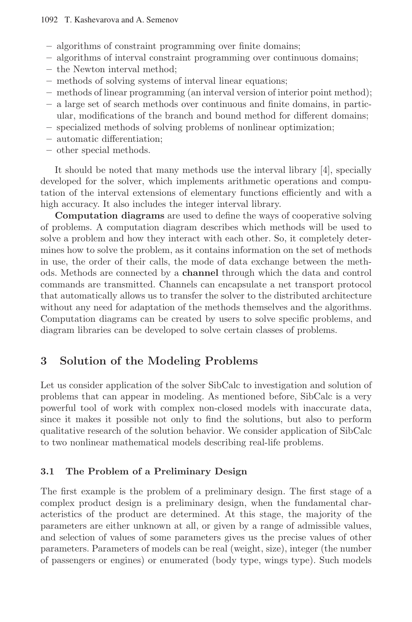- algorithms of constraint programming over finite domains;
- algorithms of interval constraint programming over continuous domains;
- the Newton interval method;
- methods of solving systems of interval linear equations;
- methods of linear programming (an interval version of interior point method);
- a large set of search methods over continuous and finite domains, in particular, modifications of the branch and bound method for different domains;
- specialized methods of solving problems of nonlinear optimization;
- automatic differentiation;
- other special methods.

It should be noted that many methods use the interval library [4], specially developed for the solver, which implements arithmetic operations and computation of the interval extensions of elementary functions efficiently and with a high accuracy. It also includes the integer interval library.

**Computation diagrams** are used to define the ways of cooperative solving of problems. A computation diagram describes which methods will be used to solve a problem and how they interact with each other. So, it completely determines how to solve the problem, as it contains information on the set of methods in use, the order of their calls, the mode of data exchange between the methods. Methods are connected by a **channel** through which the data and control commands are transmitted. Channels can encapsulate a net transport protocol that automatically allows us to transfer the solver to the distributed architecture without any need for adaptation of the methods themselves and the algorithms. Computation diagrams can be created by users to solve specific problems, and diagram libraries can be developed to solve certain classes of problems.

## **3 Solution of the Modeling Problems**

Let us consider application of the solver SibCalc to investigation and solution of problems that can appear in modeling. As mentioned before, SibCalc is a very powerful tool of work with complex non-closed models with inaccurate data, since it makes it possible not only to find the solutions, but also to perform qualitative research of the solution behavior. We consider application of SibCalc to two nonlinear mathematical models describing real-life problems.

### **3.1 The Problem of a Preliminary Design**

The first example is the problem of a preliminary design. The first stage of a complex product design is a preliminary design, when the fundamental characteristics of the product are determined. At this stage, the majority of the parameters are either unknown at all, or given by a range of admissible values, and selection of values of some parameters gives us the precise values of other parameters. Parameters of models can be real (weight, size), integer (the number of passengers or engines) or enumerated (body type, wings type). Such models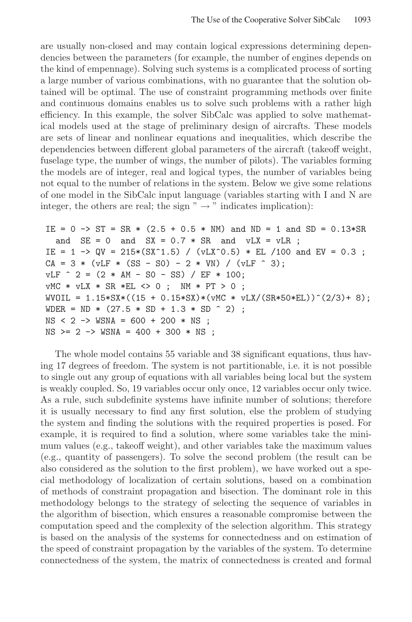are usually non-closed and may contain logical expressions determining dependencies between the parameters (for example, the number of engines depends on the kind of empennage). Solving such systems is a complicated process of sorting a large number of various combinations, with no guarantee that the solution obtained will be optimal. The use of constraint programming methods over finite and continuous domains enables us to solve such problems with a rather high efficiency. In this example, the solver SibCalc was applied to solve mathematical models used at the stage of preliminary design of aircrafts. These models are sets of linear and nonlinear equations and inequalities, which describe the dependencies between different global parameters of the aircraft (takeoff weight, fuselage type, the number of wings, the number of pilots). The variables forming the models are of integer, real and logical types, the number of variables being not equal to the number of relations in the system. Below we give some relations of one model in the SibCalc input language (variables starting with I and N are integer, the others are real; the sign  $" \rightarrow "$  indicates implication):

```
IE = 0 \rightarrow ST = SR * (2.5 + 0.5 * NM) and ND = 1 and SD = 0.13 SRand SE = 0 and SX = 0.7 * SR and vLX = vLR;
IE = 1 -> QV = 215*(SX^1.5) / (vLX<sup>o</sup>0.5) * EL /100 and EV = 0.3 ;
CA = 3 * (vLF * (SS - SO) - 2 * VN) / (vLF ^ 3);vLF 2 = (2 * AM - SO - SS) / EF * 100;
vMC * vLX * SR * EL < 0; NM * PT > 0;
WVOIL = 1.15*SX*((15 + 0.15*SX)*(vMC * vLX/(SR*50*EL))^(2/3)+ 8);WDER = ND * (27.5 * SD + 1.3 * SD ^ 2);
NS < 2 -> WSNA = 600 + 200 * NS ;
NS \ge 2 \implies W S N A = 400 + 300 * NS;
```
The whole model contains 55 variable and 38 significant equations, thus having 17 degrees of freedom. The system is not partitionable, i.e. it is not possible to single out any group of equations with all variables being local but the system is weakly coupled. So, 19 variables occur only once, 12 variables occur only twice. As a rule, such subdefinite systems have infinite number of solutions; therefore it is usually necessary to find any first solution, else the problem of studying the system and finding the solutions with the required properties is posed. For example, it is required to find a solution, where some variables take the minimum values (e.g., takeoff weight), and other variables take the maximum values (e.g., quantity of passengers). To solve the second problem (the result can be also considered as the solution to the first problem), we have worked out a special methodology of localization of certain solutions, based on a combination of methods of constraint propagation and bisection. The dominant role in this methodology belongs to the strategy of selecting the sequence of variables in the algorithm of bisection, which ensures a reasonable compromise between the computation speed and the complexity of the selection algorithm. This strategy is based on the analysis of the systems for connectedness and on estimation of the speed of constraint propagation by the variables of the system. To determine connectedness of the system, the matrix of connectedness is created and formal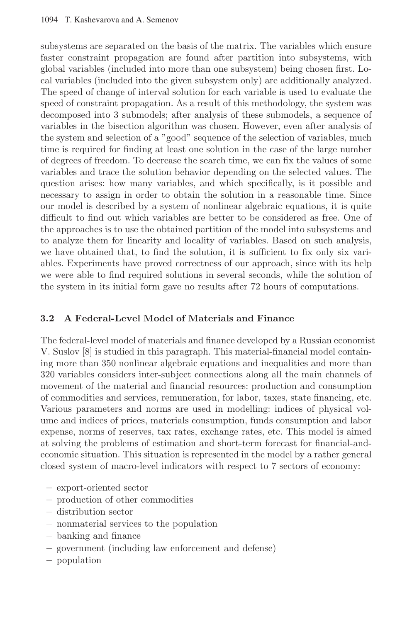subsystems are separated on the basis of the matrix. The variables which ensure faster constraint propagation are found after partition into subsystems, with global variables (included into more than one subsystem) being chosen first. Local variables (included into the given subsystem only) are additionally analyzed. The speed of change of interval solution for each variable is used to evaluate the speed of constraint propagation. As a result of this methodology, the system was decomposed into 3 submodels; after analysis of these submodels, a sequence of variables in the bisection algorithm was chosen. However, even after analysis of the system and selection of a "good" sequence of the selection of variables, much time is required for finding at least one solution in the case of the large number of degrees of freedom. To decrease the search time, we can fix the values of some variables and trace the solution behavior depending on the selected values. The question arises: how many variables, and which specifically, is it possible and necessary to assign in order to obtain the solution in a reasonable time. Since our model is described by a system of nonlinear algebraic equations, it is quite difficult to find out which variables are better to be considered as free. One of the approaches is to use the obtained partition of the model into subsystems and to analyze them for linearity and locality of variables. Based on such analysis, we have obtained that, to find the solution, it is sufficient to fix only six variables. Experiments have proved correctness of our approach, since with its help we were able to find required solutions in several seconds, while the solution of the system in its initial form gave no results after 72 hours of computations.

### **3.2 A Federal-Level Model of Materials and Finance**

The federal-level model of materials and finance developed by a Russian economist V. Suslov [8] is studied in this paragraph. This material-financial model containing more than 350 nonlinear algebraic equations and inequalities and more than 320 variables considers inter-subject connections along all the main channels of movement of the material and financial resources: production and consumption of commodities and services, remuneration, for labor, taxes, state financing, etc. Various parameters and norms are used in modelling: indices of physical volume and indices of prices, materials consumption, funds consumption and labor expense, norms of reserves, tax rates, exchange rates, etc. This model is aimed at solving the problems of estimation and short-term forecast for financial-andeconomic situation. This situation is represented in the model by a rather general closed system of macro-level indicators with respect to 7 sectors of economy:

- export-oriented sector
- production of other commodities
- distribution sector
- nonmaterial services to the population
- banking and finance
- government (including law enforcement and defense)
- population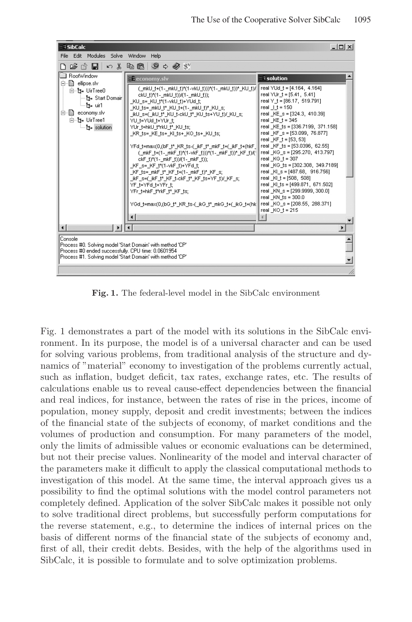| <b>SibCalc</b>                                                                                                                                                                                                                                                                                                                                                                                                                                                                                                                                                                                                                                                                                                                                                                                                                                                                               | $  D $ $\times$ $ $                                                                                                                                                                                                                                                                                                                                                                                                                                                                                                                                                                                                            |  |  |  |  |
|----------------------------------------------------------------------------------------------------------------------------------------------------------------------------------------------------------------------------------------------------------------------------------------------------------------------------------------------------------------------------------------------------------------------------------------------------------------------------------------------------------------------------------------------------------------------------------------------------------------------------------------------------------------------------------------------------------------------------------------------------------------------------------------------------------------------------------------------------------------------------------------------|--------------------------------------------------------------------------------------------------------------------------------------------------------------------------------------------------------------------------------------------------------------------------------------------------------------------------------------------------------------------------------------------------------------------------------------------------------------------------------------------------------------------------------------------------------------------------------------------------------------------------------|--|--|--|--|
| File Edit Modules Solve Window<br>Help                                                                                                                                                                                                                                                                                                                                                                                                                                                                                                                                                                                                                                                                                                                                                                                                                                                       |                                                                                                                                                                                                                                                                                                                                                                                                                                                                                                                                                                                                                                |  |  |  |  |
| □ ゴ ゴ 日   い ぶ 亀 竜   卓 수 タ が                                                                                                                                                                                                                                                                                                                                                                                                                                                                                                                                                                                                                                                                                                                                                                                                                                                                  |                                                                                                                                                                                                                                                                                                                                                                                                                                                                                                                                                                                                                                |  |  |  |  |
| RootWindow<br><b>El economy.slv</b><br>白 ■ ellipse.slv<br>( mkU t+(1- mkU t)*(1-vkU t)))*(1- mkU t))* KU t)/<br>⊟ ਇ⊶ UirTree0<br>ckU t)*(1- mkU t))/(1- mkU t));<br>— ဦး• Start Domair<br>KU s= KU t*(1-vkU t)+YUd t;<br>— ਇ∞uin1<br>KU ts= mkU t* KU t+(1- mkU t)* KU s;<br>白- 圖 economy.slv<br>ikU_s=(_ikU_t*_KU_t-ckU_t*_KU_ts+YU_t)/_KU_s;<br>⊟ ી⊁• UirTree1<br>YU t=YUd t+YUr t;<br>YUr t=hkU t*rkU t* KU ts:<br><b>Les</b> solution<br>KR ts= KE ts+ KI ts+ KO ts+ KU ts;<br>YFd t=max(0,(bF t* KR ts-( ikF t* mkF t+( ikF t+(hkF  <br>( mkF t+(1- mkF t)*(1-vkF t)))*(1- mkF t))* KF t)/(1<br>ckF_t)*(1- mkF_t))/(1- mkF_t));<br>KF s= KF t*(1-vkF t)+YFd t<br>KF_ts=_mkF_t*_KF_t+(1-_mkF_t)*_KF_s;<br>ikF s=(ikF t* KF t-ckF t* KF ts+YF t)/ KF s;<br>YF_t=YFd_t+YFr_t;<br>YFr t=hkF t*rkF t* KF ts;<br>YGd t=max(0,(bG t* KR ts-( ikG t* mkG t+( ikG t+(hk)<br>$\blacktriangleleft$ | <b>S</b> solution<br>real YUd t = [4.164, 4.164]<br>real YUr_t = [5.41, 5.41]<br>real $Y_t = [86.17, 519.791]$<br>real $1t = 150$<br>real KE s = [324.3, 410.39]<br>real $KE_t = 345$<br>real KE ts = [336.7199, 371.158]<br>real KF s = [53.099, 76.877]<br>real KF t = [53, 53]<br>real KF ts = [53,0396, 62,55]<br>real KG s = [295.270, 413.797]<br>real $KG$ $t = 307$<br>real KG ts = [302.308, 349.7189]<br>real KI s = [487.68, 916.756]<br>real KI t = [508, 508]<br>real KI ts = [499.871, 671.502]<br>real KN s = [299.9999, 300.0]<br>real $KN$ ts = 300.0<br>real KO s = [208.55, 288.371]<br>real $KO$ $t = 215$ |  |  |  |  |
| $\left  \cdot \right $<br>$\left  \cdot \right $<br>$\blacktriangleright$                                                                                                                                                                                                                                                                                                                                                                                                                                                                                                                                                                                                                                                                                                                                                                                                                    |                                                                                                                                                                                                                                                                                                                                                                                                                                                                                                                                                                                                                                |  |  |  |  |
| Console<br>Process #0. Solving model 'Start Domain' with method 'CP'<br>Process #0 ended successfully, CPU time: 0.0601954<br>Process #1. Solving model 'Start Domain' with method 'CP'                                                                                                                                                                                                                                                                                                                                                                                                                                                                                                                                                                                                                                                                                                      |                                                                                                                                                                                                                                                                                                                                                                                                                                                                                                                                                                                                                                |  |  |  |  |

**Fig. 1.** The federal-level model in the SibCalc environment

Fig. 1 demonstrates a part of the model with its solutions in the SibCalc environment. In its purpose, the model is of a universal character and can be used for solving various problems, from traditional analysis of the structure and dynamics of "material" economy to investigation of the problems currently actual, such as inflation, budget deficit, tax rates, exchange rates, etc. The results of calculations enable us to reveal cause-effect dependencies between the financial and real indices, for instance, between the rates of rise in the prices, income of population, money supply, deposit and credit investments; between the indices of the financial state of the subjects of economy, of market conditions and the volumes of production and consumption. For many parameters of the model, only the limits of admissible values or economic evaluations can be determined, but not their precise values. Nonlinearity of the model and interval character of the parameters make it difficult to apply the classical computational methods to investigation of this model. At the same time, the interval approach gives us a possibility to find the optimal solutions with the model control parameters not completely defined. Application of the solver SibCalc makes it possible not only to solve traditional direct problems, but successfully perform computations for the reverse statement, e.g., to determine the indices of internal prices on the basis of different norms of the financial state of the subjects of economy and, first of all, their credit debts. Besides, with the help of the algorithms used in SibCalc, it is possible to formulate and to solve optimization problems.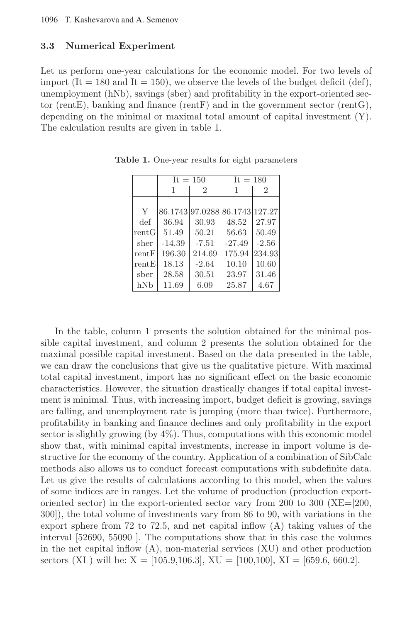#### **3.3 Numerical Experiment**

Let us perform one-year calculations for the economic model. For two levels of import (It = 180 and It = 150), we observe the levels of the budget deficit (def), unemployment (hNb), savings (sber) and profitability in the export-oriented sector (rentE), banking and finance (rentF) and in the government sector (rentG), depending on the minimal or maximal total amount of capital investment (Y). The calculation results are given in table 1.

|        | It $= 150$ |         | It $= 180$                     |         |
|--------|------------|---------|--------------------------------|---------|
|        |            | 2       |                                | 2       |
|        |            |         |                                |         |
| Y      |            |         | 86.1743 97.0288 86.1743 127.27 |         |
| $\det$ | 36.94      | 30.93   | 48.52                          | 27.97   |
| rentG  | 51.49      | 50.21   | 56.63                          | 50.49   |
| sher   | $-14.39$   | $-7.51$ | $-27.49$                       | $-2.56$ |
| rentF  | 196.30     | 214.69  | 175.94                         | 234.93  |
| rentE  | 18.13      | $-2.64$ | 10.10                          | 10.60   |
| sber   | 28.58      | 30.51   | 23.97                          | 31.46   |
| hNb    | 11.69      | 6.09    | 25.87                          | 4.67    |

**Table 1.** One-year results for eight parameters

In the table, column 1 presents the solution obtained for the minimal possible capital investment, and column 2 presents the solution obtained for the maximal possible capital investment. Based on the data presented in the table, we can draw the conclusions that give us the qualitative picture. With maximal total capital investment, import has no significant effect on the basic economic characteristics. However, the situation drastically changes if total capital investment is minimal. Thus, with increasing import, budget deficit is growing, savings are falling, and unemployment rate is jumping (more than twice). Furthermore, profitability in banking and finance declines and only profitability in the export sector is slightly growing (by 4%). Thus, computations with this economic model show that, with minimal capital investments, increase in import volume is destructive for the economy of the country. Application of a combination of SibCalc methods also allows us to conduct forecast computations with subdefinite data. Let us give the results of calculations according to this model, when the values of some indices are in ranges. Let the volume of production (production exportoriented sector) in the export-oriented sector vary from 200 to 300 (XE=[200, 300]), the total volume of investments vary from 86 to 90, with variations in the export sphere from 72 to 72.5, and net capital inflow (A) taking values of the interval [52690, 55090 ]. The computations show that in this case the volumes in the net capital inflow  $(A)$ , non-material services  $(XU)$  and other production sectors (XI) will be:  $X = [105.9, 106.3]$ ,  $XU = [100, 100]$ ,  $XI = [659.6, 660.2]$ .